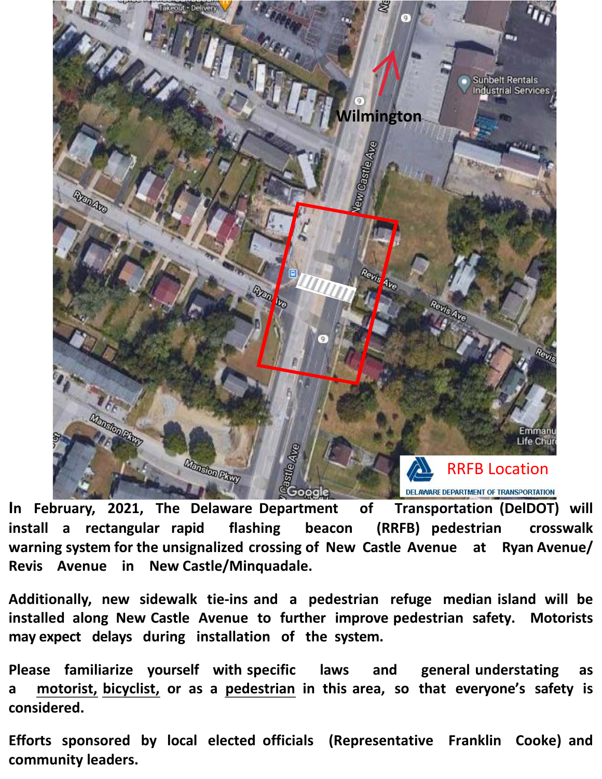

**In February, 2021, The Delaware Department of Transportation (DelDOT) will install a rectangular rapid flashing beacon (RRFB) pedestrian crosswalk warning system for the unsignalized crossing of New Castle Avenue at Ryan Avenue/ Revis Avenue in New Castle/Minquadale.**

**Additionally, new sidewalk tie-ins and a pedestrian refuge median island will be installed along New Castle Avenue to further improve pedestrian safety. Motorists may expect delays during installation of the system.**

**Please familiarize yourself with specific laws and general understating as a motorist, bicyclist, or as a pedestrian in this area, so that everyone's safety is considered.**

**Efforts sponsored by local elected officials (Representative Franklin Cooke) and community leaders.**